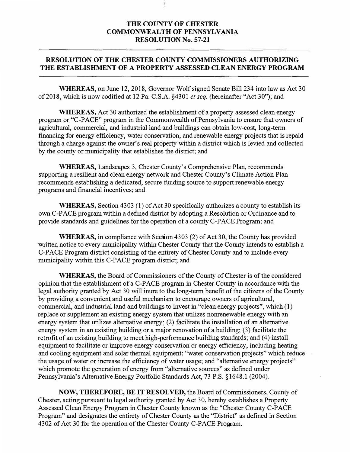## **THE COUNTY OF CHESTER COMMONWEALTH OF PENNSYLVANIA RESOLUTION No. 57-21**

## **RESOLUTION OF THE CHESTER COUNTY COMMISSIONERS AUTHORIZING THE ESTABLISHMENT OF A PROPERTY ASSESSED CLEAN ENERGY PROGRAM**

**WHEREAS,** on June 12, 2018, Governor Wolf signed Senate Bill 234 into law as Act 30 of 2018, which is now codified at 12 Pa. C.S.A. §4301 *et seq.* (hereinafter "Act 30"); and

**WHEREAS,** Act 30 authorized the establishment of a property assessed clean energy program or "C-PACE" program in the Commonwealth of Pennsylvania to ensure that owners of agricultural, commercial, and industrial land and buildings can obtain low-cost, long-term financing for energy efficiency, water conservation, and renewable energy projects that is repaid through a charge against the owner's real property within a district which is levied and collected by the county or municipality that establishes the district; and

**WHEREAS,** Landscapes 3, Chester County's Comprehensive Plan, recommends supporting a resilient and clean energy network and Chester County's Climate Action Plan recommends establishing a dedicated, secure funding source to support renewable energy programs and financial incentives; and

**WHEREAS,** Section 4303 (1) of Act 30 specifically authorizes a county to establish its own C-PACE program within a defined district by adopting a Resolution or Ordinance and to provide standards and guidelines for the operation of a county C-PACE Program; and

**WHEREAS,** in compliance with Section 4303 (2) of Act 30, the County has provided written notice to every municipality within Chester County that the County intends to establish a C-PACE Program district consisting of the entirety of Chester County and to include every municipality within this C-PACE program district; and

**WHEREAS,** the Board of Commissioners of the County of Chester is of the considered opinion that the establishment of a C-PACE program in Chester County in accordance with the legal authority granted by Act 30 will inure to the long-term benefit of the citizens of the County by providing a convenient and useful mechanism to encourage owners of agricultural, commercial, and industrial land and buildings to invest in "clean energy projects", which (1) replace or supplement an existing energy system that utilizes nonrenewable energy with an energy system that utilizes alternative energy; (2) facilitate the installation of an alternative energy system in an existing building or a major renovation of a building; (3) facilitate the retrofit of an existing building to meet high-performance building standards; and (4) install equipment to facilitate or improve energy conservation or energy efficiency, including heating and cooling equipment and solar thermal equipment; "water conservation projects" which reduce the usage of water or increase the efficiency of water usage; and "alternative energy projects" which promote the generation of energy from "alternative sources" as defined under Pennsylvania's Alternative Energy Portfolio Standards Act, 73 P.S. §1648.1 (2004).

**NOW, THEREFORE, BE IT RESOLVED,** the Board of Commissioners, County of Chester, acting pursuant to legal authority granted by Act 30, hereby establishes a Property Assessed Clean Energy Program in Chester County known as the "Chester County C-PACE Program" and designates the entirety of Chester County as the "District" as defined in Section 4302 of Act 30 for the operation of the Chester County C-PACE Program.